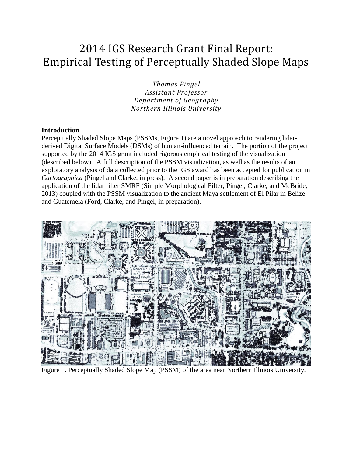# 2014 IGS Research Grant Final Report: Empirical Testing of Perceptually Shaded Slope Maps

*Thomas Pingel Assistant Professor Department of Geography Northern Illinois University*

# **Introduction**

Perceptually Shaded Slope Maps (PSSMs, Figure 1) are a novel approach to rendering lidarderived Digital Surface Models (DSMs) of human-influenced terrain. The portion of the project supported by the 2014 IGS grant included rigorous empirical testing of the visualization (described below). A full description of the PSSM visualization, as well as the results of an exploratory analysis of data collected prior to the IGS award has been accepted for publication in *Cartographica* (Pingel and Clarke, in press). A second paper is in preparation describing the application of the lidar filter SMRF (Simple Morphological Filter; Pingel, Clarke, and McBride, 2013) coupled with the PSSM visualization to the ancient Maya settlement of El Pilar in Belize and Guatemela (Ford, Clarke, and Pingel, in preparation).



Figure 1. Perceptually Shaded Slope Map (PSSM) of the area near Northern Illinois University.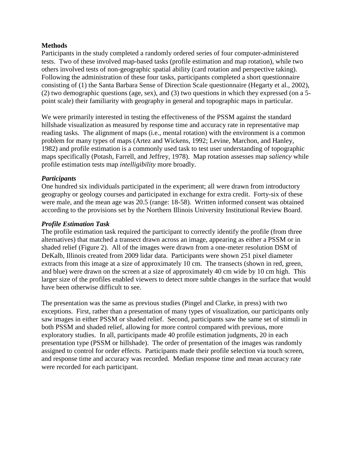# **Methods**

Participants in the study completed a randomly ordered series of four computer-administered tests. Two of these involved map-based tasks (profile estimation and map rotation), while two others involved tests of non-geographic spatial ability (card rotation and perspective taking). Following the administration of these four tasks, participants completed a short questionnaire consisting of (1) the Santa Barbara Sense of Direction Scale questionnaire (Hegarty et al., 2002), (2) two demographic questions (age, sex), and (3) two questions in which they expressed (on a 5 point scale) their familiarity with geography in general and topographic maps in particular.

We were primarily interested in testing the effectiveness of the PSSM against the standard hillshade visualization as measured by response time and accuracy rate in representative map reading tasks. The alignment of maps (i.e., mental rotation) with the environment is a common problem for many types of maps (Artez and Wickens, 1992; Levine, Marchon, and Hanley, 1982) and profile estimation is a commonly used task to test user understanding of topographic maps specifically (Potash, Farrell, and Jeffrey, 1978). Map rotation assesses map *saliency* while profile estimation tests map *intelligibility* more broadly.

# *Participants*

One hundred six individuals participated in the experiment; all were drawn from introductory geography or geology courses and participated in exchange for extra credit. Forty-six of these were male, and the mean age was 20.5 (range: 18-58). Written informed consent was obtained according to the provisions set by the Northern Illinois University Institutional Review Board.

#### *Profile Estimation Task*

The profile estimation task required the participant to correctly identify the profile (from three alternatives) that matched a transect drawn across an image, appearing as either a PSSM or in shaded relief (Figure 2). All of the images were drawn from a one-meter resolution DSM of DeKalb, Illinois created from 2009 lidar data. Participants were shown 251 pixel diameter extracts from this image at a size of approximately 10 cm. The transects (shown in red, green, and blue) were drawn on the screen at a size of approximately 40 cm wide by 10 cm high. This larger size of the profiles enabled viewers to detect more subtle changes in the surface that would have been otherwise difficult to see.

The presentation was the same as previous studies (Pingel and Clarke, in press) with two exceptions. First, rather than a presentation of many types of visualization, our participants only saw images in either PSSM or shaded relief. Second, participants saw the same set of stimuli in both PSSM and shaded relief, allowing for more control compared with previous, more exploratory studies. In all, participants made 40 profile estimation judgments, 20 in each presentation type (PSSM or hillshade). The order of presentation of the images was randomly assigned to control for order effects. Participants made their profile selection via touch screen, and response time and accuracy was recorded. Median response time and mean accuracy rate were recorded for each participant.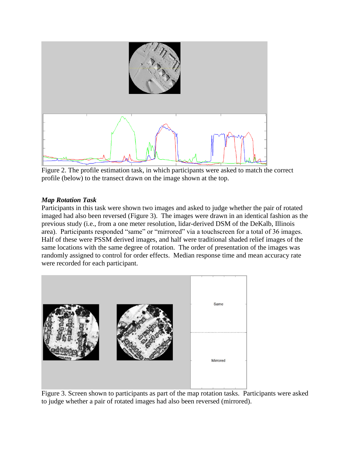

Figure 2. The profile estimation task, in which participants were asked to match the correct profile (below) to the transect drawn on the image shown at the top.

# *Map Rotation Task*

Participants in this task were shown two images and asked to judge whether the pair of rotated imaged had also been reversed (Figure 3). The images were drawn in an identical fashion as the previous study (i.e., from a one meter resolution, lidar-derived DSM of the DeKalb, Illinois area). Participants responded "same" or "mirrored" via a touchscreen for a total of 36 images. Half of these were PSSM derived images, and half were traditional shaded relief images of the same locations with the same degree of rotation. The order of presentation of the images was randomly assigned to control for order effects. Median response time and mean accuracy rate were recorded for each participant.



Figure 3. Screen shown to participants as part of the map rotation tasks. Participants were asked to judge whether a pair of rotated images had also been reversed (mirrored).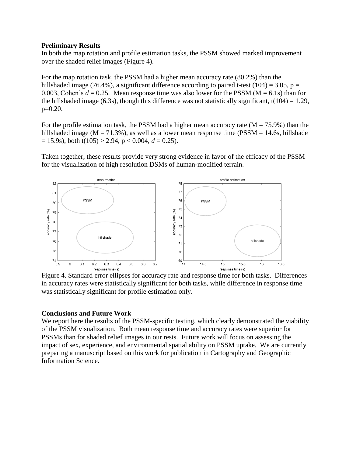## **Preliminary Results**

In both the map rotation and profile estimation tasks, the PSSM showed marked improvement over the shaded relief images (Figure 4).

For the map rotation task, the PSSM had a higher mean accuracy rate (80.2%) than the hillshaded image (76.4%), a significant difference according to paired t-test (104) = 3.05, p = 0.003, Cohen's  $d = 0.25$ . Mean response time was also lower for the PSSM ( $M = 6.1$ s) than for the hillshaded image (6.3s), though this difference was not statistically significant,  $t(104) = 1.29$ , p=0.20.

For the profile estimation task, the PSSM had a higher mean accuracy rate  $(M = 75.9\%)$  than the hillshaded image ( $M = 71.3\%$ ), as well as a lower mean response time ( $PSSM = 14.6s$ , hillshade  $= 15.9$ s), both t(105) > 2.94, p < 0.004,  $d = 0.25$ ).

Taken together, these results provide very strong evidence in favor of the efficacy of the PSSM for the visualization of high resolution DSMs of human-modified terrain.



Figure 4. Standard error ellipses for accuracy rate and response time for both tasks. Differences in accuracy rates were statistically significant for both tasks, while difference in response time was statistically significant for profile estimation only.

# **Conclusions and Future Work**

We report here the results of the PSSM-specific testing, which clearly demonstrated the viability of the PSSM visualization. Both mean response time and accuracy rates were superior for PSSMs than for shaded relief images in our rests. Future work will focus on assessing the impact of sex, experience, and environmental spatial ability on PSSM uptake. We are currently preparing a manuscript based on this work for publication in Cartography and Geographic Information Science.